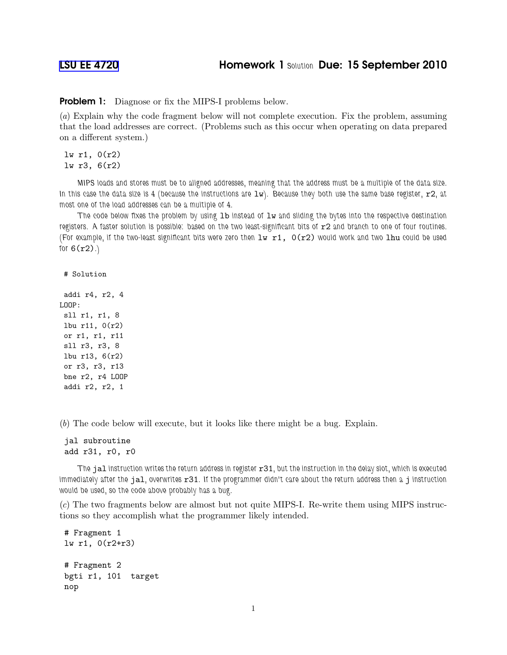**Problem 1:** Diagnose or fix the MIPS-I problems below.

(a) Explain why the code fragment below will not complete execution. Fix the problem, assuming that the load addresses are correct. (Problems such as this occur when operating on data prepared on a different system.)

lw r1, 0(r2) lw r3, 6(r2)

MIPS loads and stores must be to aligned addresses, meaning that the address must be a multiple of the data size. In this case the data size is 4 (because the instructions are  $1w$ ). Because they both use the same base register,  $r2$ , at most one of the load addresses can be a multiple of 4.

The code below fixes the problem by using  $1b$  instead of  $1w$  and sliding the bytes into the respective destination registers. A faster solution is possible: based on the two least-significant bits of r2 and branch to one of four routines. (For example, if the two-least significant bits were zero then  $1w$  r1,  $0(r2)$  would work and two lhu could be used for  $6(r2)$ .)

```
# Solution
```

```
addi r4, r2, 4
LOOP:
sll r1, r1, 8
lbu r11, 0(r2)
or r1, r1, r11
sll r3, r3, 8
lbu r13, 6(r2)
or r3, r3, r13
bne r2, r4 LOOP
addi r2, r2, 1
```
(b) The code below will execute, but it looks like there might be a bug. Explain.

jal subroutine add r31, r0, r0

The jal instruction writes the return address in register  $r31$ , but the instruction in the delay slot, which is executed immediately after the jal, overwrites r31. If the programmer didn't care about the return address then a j instruction would be used, so the code above probably has a bug.

(c) The two fragments below are almost but not quite MIPS-I. Re-write them using MIPS instructions so they accomplish what the programmer likely intended.

```
# Fragment 1
lw r1, 0(r2+r3)
# Fragment 2
bgti r1, 101 target
nop
```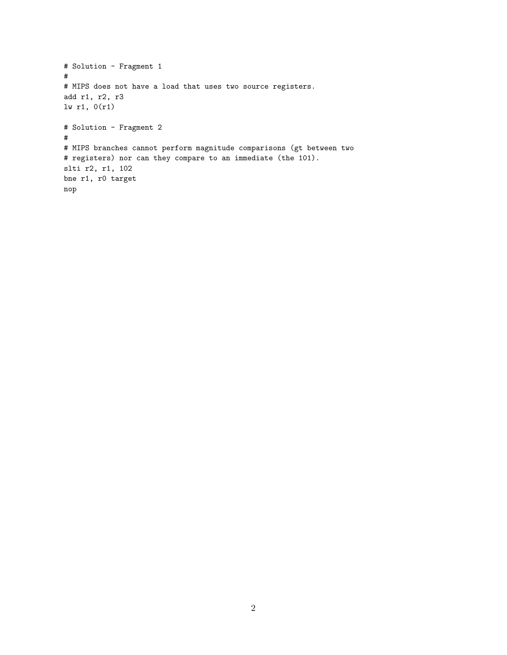```
# Solution - Fragment 1
#
# MIPS does not have a load that uses two source registers.
add r1, r2, r3
lw r1, 0(r1)
# Solution - Fragment 2
#
# MIPS branches cannot perform magnitude comparisons (gt between two
# registers) nor can they compare to an immediate (the 101).
slti r2, r1, 102
bne r1, r0 target
nop
```